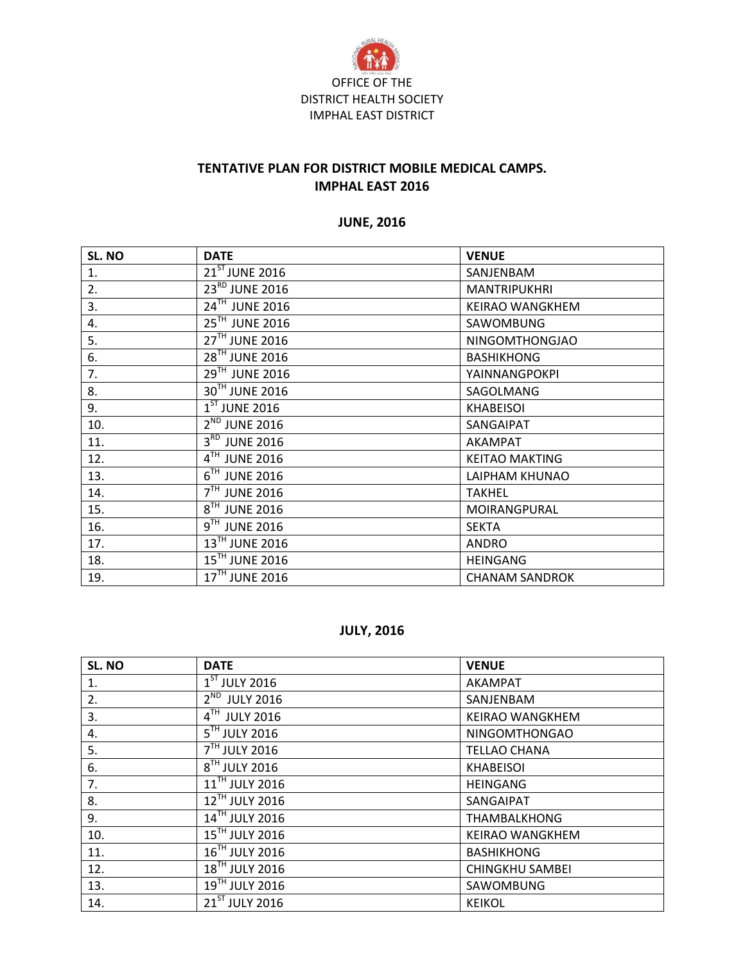

### **TENTATIVE PLAN FOR DISTRICT MOBILE MEDICAL CAMPS. IMPHAL EAST 2016**

### **JUNE, 2016**

| SL. NO | <b>DATE</b>                | <b>VENUE</b>           |
|--------|----------------------------|------------------------|
| 1.     | $21^{ST}$ JUNE 2016        | SANJENBAM              |
| 2.     | 23 <sup>RD</sup> JUNE 2016 | MANTRIPUKHRI           |
| 3.     | 24TH JUNE 2016             | <b>KEIRAO WANGKHEM</b> |
| 4.     | 25TH JUNE 2016             | SAWOMBUNG              |
| 5.     | 27TH JUNE 2016             | NINGOMTHONGJAO         |
| 6.     | 28 <sup>TH</sup> JUNE 2016 | <b>BASHIKHONG</b>      |
| 7.     | 29TH JUNE 2016             | YAINNANGPOKPI          |
| 8.     | 30TH JUNE 2016             | SAGOLMANG              |
| 9.     | $1ST$ JUNE 2016            | <b>KHABEISOI</b>       |
| 10.    | 2 <sup>ND</sup> JUNE 2016  | SANGAIPAT              |
| 11.    | 3RD JUNE 2016              | <b>AKAMPAT</b>         |
| 12.    | 4TH JUNE 2016              | <b>KEITAO MAKTING</b>  |
| 13.    | $6TH$ JUNE 2016            | LAIPHAM KHUNAO         |
| 14.    | 7TH JUNE 2016              | <b>TAKHEL</b>          |
| 15.    | 8TH JUNE 2016              | MOIRANGPURAL           |
| 16.    | $9TH$ JUNE 2016            | <b>SEKTA</b>           |
| 17.    | 13TH JUNE 2016             | <b>ANDRO</b>           |
| 18.    | $15^{\text{TH}}$ JUNE 2016 | <b>HEINGANG</b>        |
| 19.    | 17TH JUNE 2016             | <b>CHANAM SANDROK</b>  |

## **JULY, 2016**

| SL. NO | <b>DATE</b>                            | <b>VENUE</b>           |
|--------|----------------------------------------|------------------------|
| 1.     | $1ST$ JULY 2016                        | <b>AKAMPAT</b>         |
| 2.     | $2^{ND}$ JULY 2016                     | SANJENBAM              |
| 3.     | 4TH JULY 2016                          | <b>KEIRAO WANGKHEM</b> |
| 4.     | $\overline{5}$ <sup>TH</sup> JULY 2016 | <b>NINGOMTHONGAO</b>   |
| 5.     | 7 <sup>TH</sup> JULY 2016              | <b>TELLAO CHANA</b>    |
| 6.     | 8TH JULY 2016                          | <b>KHABEISOI</b>       |
| 7.     | 11TH JULY 2016                         | <b>HEINGANG</b>        |
| 8.     | 12TH JULY 2016                         | SANGAIPAT              |
| 9.     | 14TH JULY 2016                         | <b>THAMBALKHONG</b>    |
| 10.    | 15TH JULY 2016                         | <b>KEIRAO WANGKHEM</b> |
| 11.    | 16TH JULY 2016                         | <b>BASHIKHONG</b>      |
| 12.    | 18TH JULY 2016                         | <b>CHINGKHU SAMBEI</b> |
| 13.    | 19TH JULY 2016                         | SAWOMBUNG              |
| 14.    | 21ST JULY 2016                         | <b>KEIKOL</b>          |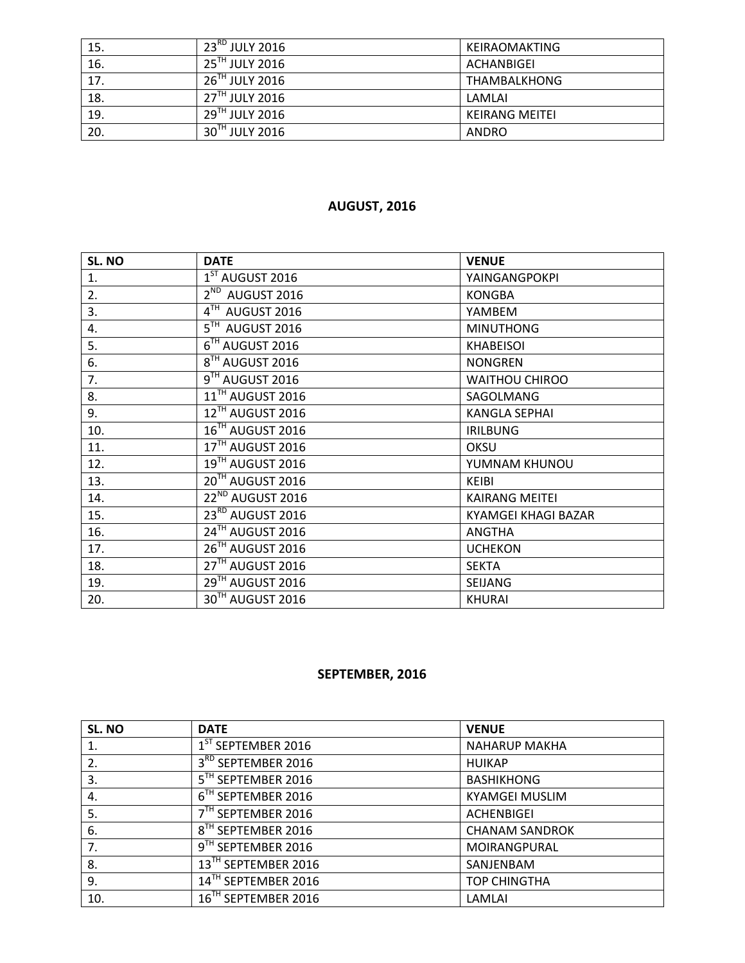| 15. | $123^{\text{RD}}$ JULY 2016  | KEIRAOMAKTING         |
|-----|------------------------------|-----------------------|
| 16. | 25TH JULY 2016               | <b>ACHANBIGEI</b>     |
| 17. | $26$ <sup>TH</sup> JULY 2016 | <b>THAMBALKHONG</b>   |
| 18. | $27^{\text{TH}}$ JULY 2016   | LAMLAI                |
| 19. | $29^{\text{TH}}$ JULY 2016   | <b>KEIRANG MEITEI</b> |
| 20. | $30^{\text{TH}}$ JULY 2016   | <b>ANDRO</b>          |

## **AUGUST, 2016**

| SL. NO | <b>DATE</b>                            | <b>VENUE</b>               |
|--------|----------------------------------------|----------------------------|
| 1.     | $1ST$ AUGUST 2016                      | YAINGANGPOKPI              |
| 2.     | $2^{ND}$ AUGUST 2016                   | <b>KONGBA</b>              |
| 3.     | 4TH AUGUST 2016                        | YAMBEM                     |
| 4.     | $\overline{5}^{\text{TH}}$ AUGUST 2016 | <b>MINUTHONG</b>           |
| 5.     | 6TH AUGUST 2016                        | <b>KHABEISOI</b>           |
| 6.     | 8 <sup>TH</sup> AUGUST 2016            | <b>NONGREN</b>             |
| 7.     | $9TH$ AUGUST 2016                      | <b>WAITHOU CHIROO</b>      |
| 8.     | $11$ <sup>TH</sup> AUGUST 2016         | SAGOLMANG                  |
| 9.     | 12 <sup>TH</sup> AUGUST 2016           | <b>KANGLA SEPHAI</b>       |
| 10.    | 16TH AUGUST 2016                       | <b>IRILBUNG</b>            |
| 11.    | 17 <sup>TH</sup> AUGUST 2016           | <b>OKSU</b>                |
| 12.    | $19TH$ AUGUST 2016                     | YUMNAM KHUNOU              |
| 13.    | 20TH AUGUST 2016                       | <b>KEIBI</b>               |
| 14.    | 22 <sup>ND</sup> AUGUST 2016           | <b>KAIRANG MEITEI</b>      |
| 15.    | 23 <sup>RD</sup> AUGUST 2016           | <b>KYAMGEI KHAGI BAZAR</b> |
| 16.    | $24^{\text{TH}}$ AUGUST 2016           | <b>ANGTHA</b>              |
| 17.    | 26TH AUGUST 2016                       | <b>UCHEKON</b>             |
| 18.    | 27 <sup>TH</sup> AUGUST 2016           | <b>SEKTA</b>               |
| 19.    | 29TH AUGUST 2016                       | SEIJANG                    |
| 20.    | 30TH AUGUST 2016                       | <b>KHURAI</b>              |

# **SEPTEMBER, 2016**

| SL. NO | <b>DATE</b>                     | <b>VENUE</b>          |
|--------|---------------------------------|-----------------------|
|        | $1ST$ SEPTEMBER 2016            | <b>NAHARUP MAKHA</b>  |
| 2.     | 3 <sup>RD</sup> SEPTEMBER 2016  | <b>HUIKAP</b>         |
| 3.     | 5 <sup>TH</sup> SEPTEMBER 2016  | <b>BASHIKHONG</b>     |
| 4.     | 6 <sup>IH</sup> SEPTEMBER 2016  | <b>KYAMGEI MUSLIM</b> |
| 5.     | 7 <sup>TH</sup> SEPTEMBER 2016  | <b>ACHENBIGEI</b>     |
| 6.     | 8 <sup>TH</sup> SEPTEMBER 2016  | <b>CHANAM SANDROK</b> |
| 7.     | 9TH SEPTEMBER 2016              | MOIRANGPURAL          |
| 8.     | 13TH SEPTEMBER 2016             | SANJENBAM             |
| 9.     | 14TH SEPTEMBER 2016             | <b>TOP CHINGTHA</b>   |
| 10.    | 16 <sup>TH</sup> SEPTEMBER 2016 | LAMLAI                |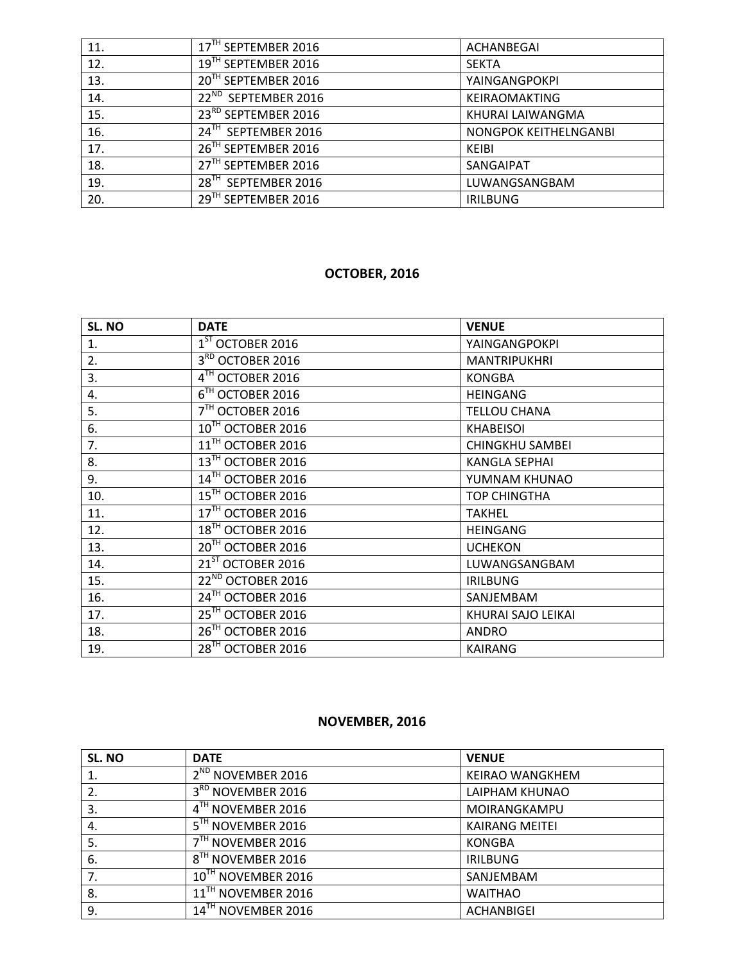| 11. | 17TH SEPTEMBER 2016             | ACHANBEGAI            |
|-----|---------------------------------|-----------------------|
| 12. | 19TH SEPTEMBER 2016             | <b>SEKTA</b>          |
| 13. | 20TH SEPTEMBER 2016             | YAINGANGPOKPI         |
| 14. | 22 <sup>ND</sup> SEPTEMBER 2016 | <b>KEIRAOMAKTING</b>  |
| 15. | 23 <sup>RD</sup> SEPTEMBER 2016 | KHURAI LAIWANGMA      |
| 16. | 24TH SEPTEMBER 2016             | NONGPOK KEITHELNGANBI |
| 17. | 26 <sup>TH</sup> SEPTEMBER 2016 | KEIBI                 |
| 18. | 27 <sup>TH</sup> SEPTEMBER 2016 | SANGAIPAT             |
| 19. | 28 <sup>TH</sup> SEPTEMBER 2016 | LUWANGSANGBAM         |
| 20. | 29TH SEPTEMBER 2016             | <b>IRILBUNG</b>       |

### **OCTOBER, 2016**

| SL. NO | <b>DATE</b>                              | <b>VENUE</b>           |
|--------|------------------------------------------|------------------------|
| 1.     | $1ST$ OCTOBER 2016                       | YAINGANGPOKPI          |
| 2.     | 3 <sup>RD</sup> OCTOBER 2016             | MANTRIPUKHRI           |
| 3.     | 4TH OCTOBER 2016                         | <b>KONGBA</b>          |
| 4.     | 6 <sup>TH</sup> OCTOBER 2016             | <b>HEINGANG</b>        |
| 5.     | 7 <sup>TH</sup> OCTOBER 2016             | <b>TELLOU CHANA</b>    |
| 6.     | 10TH OCTOBER 2016                        | <b>KHABEISOI</b>       |
| 7.     | $\overline{11}^{\text{TH}}$ OCTOBER 2016 | <b>CHINGKHU SAMBEI</b> |
| 8.     | 13TH OCTOBER 2016                        | <b>KANGLA SEPHAI</b>   |
| 9.     | 14TH OCTOBER 2016                        | YUMNAM KHUNAO          |
| 10.    | 15TH OCTOBER 2016                        | <b>TOP CHINGTHA</b>    |
| 11.    | 17TH OCTOBER 2016                        | <b>TAKHEL</b>          |
| 12.    | 18 <sup>TH</sup> OCTOBER 2016            | <b>HEINGANG</b>        |
| 13.    | 20TH OCTOBER 2016                        | <b>UCHEKON</b>         |
| 14.    | 21ST OCTOBER 2016                        | LUWANGSANGBAM          |
| 15.    | 22 <sup>ND</sup> OCTOBER 2016            | <b>IRILBUNG</b>        |
| 16.    | 24TH OCTOBER 2016                        | SANJEMBAM              |
| 17.    | 25TH OCTOBER 2016                        | KHURAI SAJO LEIKAI     |
| 18.    | 26TH OCTOBER 2016                        | <b>ANDRO</b>           |
| 19.    | 28 <sup>™</sup> OCTOBER 2016             | <b>KAIRANG</b>         |

### **NOVEMBER, 2016**

| SL. NO | <b>DATE</b>                    | <b>VENUE</b>           |
|--------|--------------------------------|------------------------|
| 1.     | 2 <sup>ND</sup> NOVEMBER 2016  | <b>KEIRAO WANGKHEM</b> |
| 2.     | 3RD NOVEMBER 2016              | LAIPHAM KHUNAO         |
| 3.     | 4TH NOVEMBER 2016              | MOIRANGKAMPU           |
| 4.     | 5TH NOVEMBER 2016              | <b>KAIRANG MEITEI</b>  |
| 5.     | 7 <sup>TH</sup> NOVEMBER 2016  | <b>KONGBA</b>          |
| 6.     | 8 <sup>TH</sup> NOVEMBER 2016  | <b>IRILBUNG</b>        |
| 7.     | 10TH NOVEMBER 2016             | SANJEMBAM              |
| 8.     | 11 <sup>TH</sup> NOVEMBER 2016 | <b>WAITHAO</b>         |
| 9.     | 14TH NOVEMBER 2016             | <b>ACHANBIGEI</b>      |